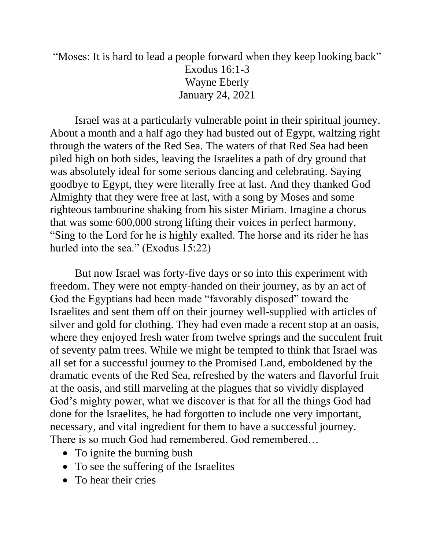## "Moses: It is hard to lead a people forward when they keep looking back" Exodus 16:1-3 Wayne Eberly January 24, 2021

Israel was at a particularly vulnerable point in their spiritual journey. About a month and a half ago they had busted out of Egypt, waltzing right through the waters of the Red Sea. The waters of that Red Sea had been piled high on both sides, leaving the Israelites a path of dry ground that was absolutely ideal for some serious dancing and celebrating. Saying goodbye to Egypt, they were literally free at last. And they thanked God Almighty that they were free at last, with a song by Moses and some righteous tambourine shaking from his sister Miriam. Imagine a chorus that was some 600,000 strong lifting their voices in perfect harmony, "Sing to the Lord for he is highly exalted. The horse and its rider he has hurled into the sea." (Exodus 15:22)

But now Israel was forty-five days or so into this experiment with freedom. They were not empty-handed on their journey, as by an act of God the Egyptians had been made "favorably disposed" toward the Israelites and sent them off on their journey well-supplied with articles of silver and gold for clothing. They had even made a recent stop at an oasis, where they enjoyed fresh water from twelve springs and the succulent fruit of seventy palm trees. While we might be tempted to think that Israel was all set for a successful journey to the Promised Land, emboldened by the dramatic events of the Red Sea, refreshed by the waters and flavorful fruit at the oasis, and still marveling at the plagues that so vividly displayed God's mighty power, what we discover is that for all the things God had done for the Israelites, he had forgotten to include one very important, necessary, and vital ingredient for them to have a successful journey. There is so much God had remembered. God remembered…

- To ignite the burning bush
- To see the suffering of the Israelites
- To hear their cries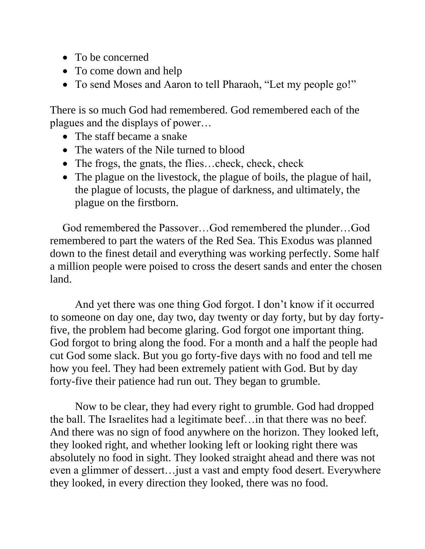- To be concerned
- To come down and help
- To send Moses and Aaron to tell Pharaoh, "Let my people go!"

There is so much God had remembered. God remembered each of the plagues and the displays of power…

- The staff became a snake
- The waters of the Nile turned to blood
- The frogs, the gnats, the flies...check, check, check
- The plague on the livestock, the plague of boils, the plague of hail, the plague of locusts, the plague of darkness, and ultimately, the plague on the firstborn.

God remembered the Passover…God remembered the plunder…God remembered to part the waters of the Red Sea. This Exodus was planned down to the finest detail and everything was working perfectly. Some half a million people were poised to cross the desert sands and enter the chosen land.

And yet there was one thing God forgot. I don't know if it occurred to someone on day one, day two, day twenty or day forty, but by day fortyfive, the problem had become glaring. God forgot one important thing. God forgot to bring along the food. For a month and a half the people had cut God some slack. But you go forty-five days with no food and tell me how you feel. They had been extremely patient with God. But by day forty-five their patience had run out. They began to grumble.

Now to be clear, they had every right to grumble. God had dropped the ball. The Israelites had a legitimate beef…in that there was no beef. And there was no sign of food anywhere on the horizon. They looked left, they looked right, and whether looking left or looking right there was absolutely no food in sight. They looked straight ahead and there was not even a glimmer of dessert…just a vast and empty food desert. Everywhere they looked, in every direction they looked, there was no food.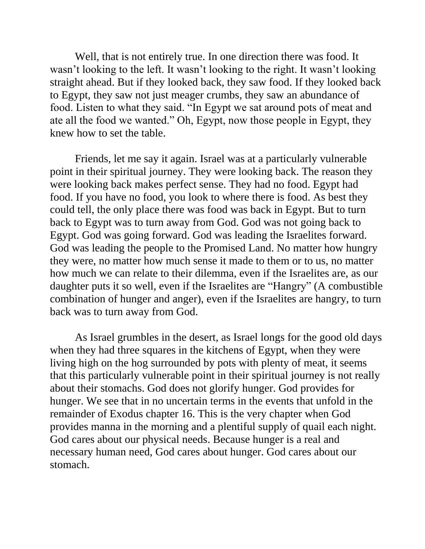Well, that is not entirely true. In one direction there was food. It wasn't looking to the left. It wasn't looking to the right. It wasn't looking straight ahead. But if they looked back, they saw food. If they looked back to Egypt, they saw not just meager crumbs, they saw an abundance of food. Listen to what they said. "In Egypt we sat around pots of meat and ate all the food we wanted." Oh, Egypt, now those people in Egypt, they knew how to set the table.

Friends, let me say it again. Israel was at a particularly vulnerable point in their spiritual journey. They were looking back. The reason they were looking back makes perfect sense. They had no food. Egypt had food. If you have no food, you look to where there is food. As best they could tell, the only place there was food was back in Egypt. But to turn back to Egypt was to turn away from God. God was not going back to Egypt. God was going forward. God was leading the Israelites forward. God was leading the people to the Promised Land. No matter how hungry they were, no matter how much sense it made to them or to us, no matter how much we can relate to their dilemma, even if the Israelites are, as our daughter puts it so well, even if the Israelites are "Hangry" (A combustible combination of hunger and anger), even if the Israelites are hangry, to turn back was to turn away from God.

As Israel grumbles in the desert, as Israel longs for the good old days when they had three squares in the kitchens of Egypt, when they were living high on the hog surrounded by pots with plenty of meat, it seems that this particularly vulnerable point in their spiritual journey is not really about their stomachs. God does not glorify hunger. God provides for hunger. We see that in no uncertain terms in the events that unfold in the remainder of Exodus chapter 16. This is the very chapter when God provides manna in the morning and a plentiful supply of quail each night. God cares about our physical needs. Because hunger is a real and necessary human need, God cares about hunger. God cares about our stomach.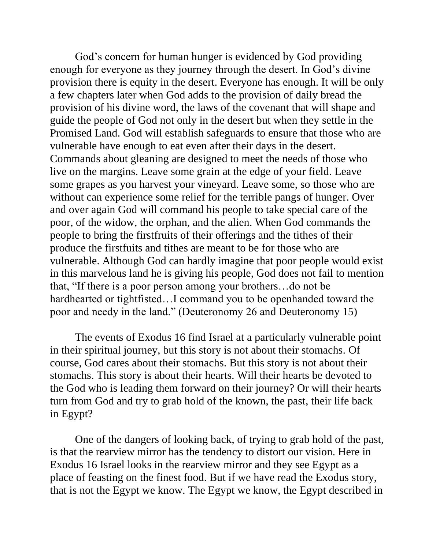God's concern for human hunger is evidenced by God providing enough for everyone as they journey through the desert. In God's divine provision there is equity in the desert. Everyone has enough. It will be only a few chapters later when God adds to the provision of daily bread the provision of his divine word, the laws of the covenant that will shape and guide the people of God not only in the desert but when they settle in the Promised Land. God will establish safeguards to ensure that those who are vulnerable have enough to eat even after their days in the desert. Commands about gleaning are designed to meet the needs of those who live on the margins. Leave some grain at the edge of your field. Leave some grapes as you harvest your vineyard. Leave some, so those who are without can experience some relief for the terrible pangs of hunger. Over and over again God will command his people to take special care of the poor, of the widow, the orphan, and the alien. When God commands the people to bring the firstfruits of their offerings and the tithes of their produce the firstfuits and tithes are meant to be for those who are vulnerable. Although God can hardly imagine that poor people would exist in this marvelous land he is giving his people, God does not fail to mention that, "If there is a poor person among your brothers…do not be hardhearted or tightfisted…I command you to be openhanded toward the poor and needy in the land." (Deuteronomy 26 and Deuteronomy 15)

The events of Exodus 16 find Israel at a particularly vulnerable point in their spiritual journey, but this story is not about their stomachs. Of course, God cares about their stomachs. But this story is not about their stomachs. This story is about their hearts. Will their hearts be devoted to the God who is leading them forward on their journey? Or will their hearts turn from God and try to grab hold of the known, the past, their life back in Egypt?

One of the dangers of looking back, of trying to grab hold of the past, is that the rearview mirror has the tendency to distort our vision. Here in Exodus 16 Israel looks in the rearview mirror and they see Egypt as a place of feasting on the finest food. But if we have read the Exodus story, that is not the Egypt we know. The Egypt we know, the Egypt described in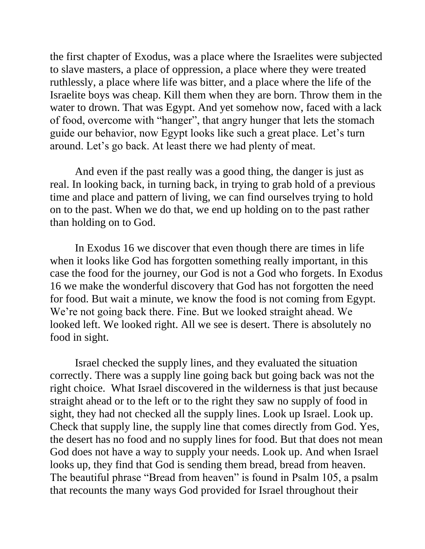the first chapter of Exodus, was a place where the Israelites were subjected to slave masters, a place of oppression, a place where they were treated ruthlessly, a place where life was bitter, and a place where the life of the Israelite boys was cheap. Kill them when they are born. Throw them in the water to drown. That was Egypt. And yet somehow now, faced with a lack of food, overcome with "hanger", that angry hunger that lets the stomach guide our behavior, now Egypt looks like such a great place. Let's turn around. Let's go back. At least there we had plenty of meat.

And even if the past really was a good thing, the danger is just as real. In looking back, in turning back, in trying to grab hold of a previous time and place and pattern of living, we can find ourselves trying to hold on to the past. When we do that, we end up holding on to the past rather than holding on to God.

In Exodus 16 we discover that even though there are times in life when it looks like God has forgotten something really important, in this case the food for the journey, our God is not a God who forgets. In Exodus 16 we make the wonderful discovery that God has not forgotten the need for food. But wait a minute, we know the food is not coming from Egypt. We're not going back there. Fine. But we looked straight ahead. We looked left. We looked right. All we see is desert. There is absolutely no food in sight.

Israel checked the supply lines, and they evaluated the situation correctly. There was a supply line going back but going back was not the right choice. What Israel discovered in the wilderness is that just because straight ahead or to the left or to the right they saw no supply of food in sight, they had not checked all the supply lines. Look up Israel. Look up. Check that supply line, the supply line that comes directly from God. Yes, the desert has no food and no supply lines for food. But that does not mean God does not have a way to supply your needs. Look up. And when Israel looks up, they find that God is sending them bread, bread from heaven. The beautiful phrase "Bread from heaven" is found in Psalm 105, a psalm that recounts the many ways God provided for Israel throughout their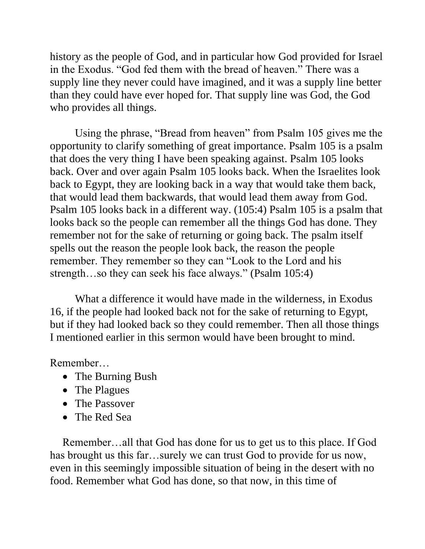history as the people of God, and in particular how God provided for Israel in the Exodus. "God fed them with the bread of heaven." There was a supply line they never could have imagined, and it was a supply line better than they could have ever hoped for. That supply line was God, the God who provides all things.

Using the phrase, "Bread from heaven" from Psalm 105 gives me the opportunity to clarify something of great importance. Psalm 105 is a psalm that does the very thing I have been speaking against. Psalm 105 looks back. Over and over again Psalm 105 looks back. When the Israelites look back to Egypt, they are looking back in a way that would take them back, that would lead them backwards, that would lead them away from God. Psalm 105 looks back in a different way. (105:4) Psalm 105 is a psalm that looks back so the people can remember all the things God has done. They remember not for the sake of returning or going back. The psalm itself spells out the reason the people look back, the reason the people remember. They remember so they can "Look to the Lord and his strength…so they can seek his face always." (Psalm 105:4)

What a difference it would have made in the wilderness, in Exodus 16, if the people had looked back not for the sake of returning to Egypt, but if they had looked back so they could remember. Then all those things I mentioned earlier in this sermon would have been brought to mind.

Remember…

- The Burning Bush
- The Plagues
- The Passover
- The Red Sea

Remember…all that God has done for us to get us to this place. If God has brought us this far...surely we can trust God to provide for us now, even in this seemingly impossible situation of being in the desert with no food. Remember what God has done, so that now, in this time of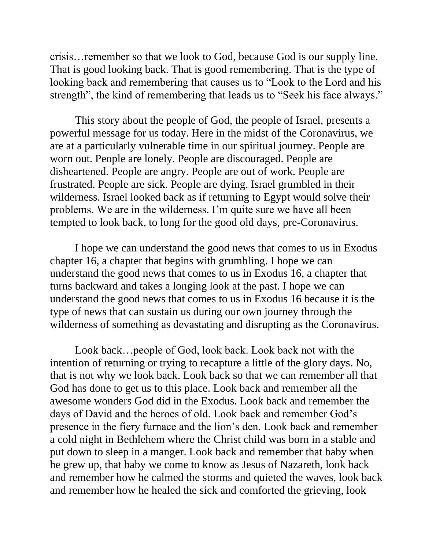crisis…remember so that we look to God, because God is our supply line. That is good looking back. That is good remembering. That is the type of looking back and remembering that causes us to "Look to the Lord and his strength", the kind of remembering that leads us to "Seek his face always."

This story about the people of God, the people of Israel, presents a powerful message for us today. Here in the midst of the Coronavirus, we are at a particularly vulnerable time in our spiritual journey. People are worn out. People are lonely. People are discouraged. People are disheartened. People are angry. People are out of work. People are frustrated. People are sick. People are dying. Israel grumbled in their wilderness. Israel looked back as if returning to Egypt would solve their problems. We are in the wilderness. I'm quite sure we have all been tempted to look back, to long for the good old days, pre-Coronavirus.

I hope we can understand the good news that comes to us in Exodus chapter 16, a chapter that begins with grumbling. I hope we can understand the good news that comes to us in Exodus 16, a chapter that turns backward and takes a longing look at the past. I hope we can understand the good news that comes to us in Exodus 16 because it is the type of news that can sustain us during our own journey through the wilderness of something as devastating and disrupting as the Coronavirus.

Look back…people of God, look back. Look back not with the intention of returning or trying to recapture a little of the glory days. No, that is not why we look back. Look back so that we can remember all that God has done to get us to this place. Look back and remember all the awesome wonders God did in the Exodus. Look back and remember the days of David and the heroes of old. Look back and remember God's presence in the fiery furnace and the lion's den. Look back and remember a cold night in Bethlehem where the Christ child was born in a stable and put down to sleep in a manger. Look back and remember that baby when he grew up, that baby we come to know as Jesus of Nazareth, look back and remember how he calmed the storms and quieted the waves, look back and remember how he healed the sick and comforted the grieving, look